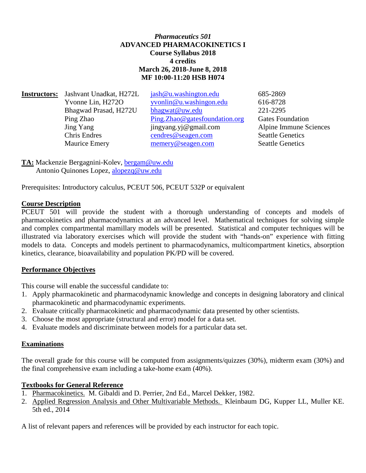# *Pharmaceutics 501* **ADVANCED PHARMACOKINETICS I Course Syllabus 2018 4 credits March 26, 2018-June 8, 2018 MF 10:00-11:20 HSB H074**

| <b>Instructors:</b> | Jashvant Unadkat, H272L | jash@u.washington.edu         | 685-2869                |
|---------------------|-------------------------|-------------------------------|-------------------------|
|                     | Yvonne Lin, H272O       | yvonlin@u.washingon.edu       | 616-8728                |
|                     | Bhagwad Prasad, H272U   | bhagwat@uw.edu                | 221-2295                |
|                     | Ping Zhao               | Ping.Zhao@gatesfoundation.org | <b>Gates Foundation</b> |
|                     | Jing Yang               | jingyang.yj@gmail.com         | Alpine Immune Sciences  |
|                     | Chris Endres            | cendres@seagen.com            | <b>Seattle Genetics</b> |
|                     | <b>Maurice Emery</b>    | memery@seagen.com             | <b>Seattle Genetics</b> |
|                     |                         |                               |                         |

**TA:** Mackenzie Bergagnini-Kolev, [bergam@uw.edu](mailto:bergam@uw.edu)  Antonio Quinones Lopez, [alopezq@uw.edu](mailto:alopezq@uw.edu)

Prerequisites: Introductory calculus, PCEUT 506, PCEUT 532P or equivalent

### **Course Description**

PCEUT 501 will provide the student with a thorough understanding of concepts and models of pharmacokinetics and pharmacodynamics at an advanced level. Mathematical techniques for solving simple and complex compartmental mamillary models will be presented. Statistical and computer techniques will be illustrated via laboratory exercises which will provide the student with "hands-on" experience with fitting models to data. Concepts and models pertinent to pharmacodynamics, multicompartment kinetics, absorption kinetics, clearance, bioavailability and population PK/PD will be covered.

### **Performance Objectives**

This course will enable the successful candidate to:

- 1. Apply pharmacokinetic and pharmacodynamic knowledge and concepts in designing laboratory and clinical pharmacokinetic and pharmacodynamic experiments.
- 2. Evaluate critically pharmacokinetic and pharmacodynamic data presented by other scientists.
- 3. Choose the most appropriate (structural and error) model for a data set.
- 4. Evaluate models and discriminate between models for a particular data set.

### **Examinations**

The overall grade for this course will be computed from assignments/quizzes (30%), midterm exam (30%) and the final comprehensive exam including a take-home exam (40%).

### **Textbooks for General Reference**

- 1. Pharmacokinetics. M. Gibaldi and D. Perrier, 2nd Ed., Marcel Dekker, 1982.
- 2. Applied Regression Analysis and Other Multivariable Methods. Kleinbaum DG, Kupper LL, Muller KE. 5th ed., 2014

A list of relevant papers and references will be provided by each instructor for each topic.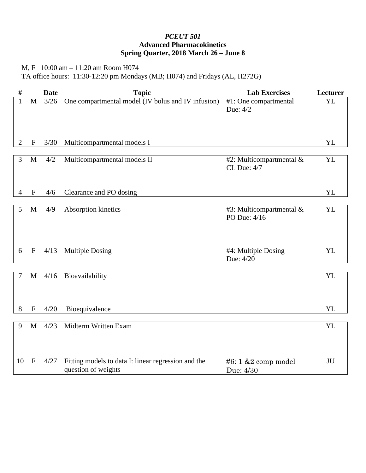# *PCEUT 501* **Advanced Pharmacokinetics Spring Quarter, 2018 March 26 – June 8**

M, F 10:00 am – 11:20 am Room H074 TA office hours: 11:30-12:20 pm Mondays (MB; H074) and Fridays (AL, H272G)

| $\#$           |              | <b>Date</b> | <b>Topic</b>                                                               | <b>Lab Exercises</b>                       | Lecturer  |
|----------------|--------------|-------------|----------------------------------------------------------------------------|--------------------------------------------|-----------|
| $\mathbf{1}$   | M            | $3/26$      | One compartmental model (IV bolus and IV infusion)                         | #1: One compartmental<br>Due: 4/2          | YL        |
| 2              | $\mathbf{F}$ | 3/30        | Multicompartmental models I                                                |                                            | YL        |
| 3              | $\mathbf{M}$ | 4/2         | Multicompartmental models II                                               | #2: Multicompartmental $&$<br>CL Due: 4/7  | YL        |
| 4              | $\mathbf{F}$ | 4/6         | Clearance and PO dosing                                                    |                                            | YL        |
| 5              | M            | 4/9         | Absorption kinetics                                                        | #3: Multicompartmental $&$<br>PO Due: 4/16 | <b>YL</b> |
| 6              | $\mathbf F$  | 4/13        | <b>Multiple Dosing</b>                                                     | #4: Multiple Dosing<br>Due: 4/20           | YL        |
| $\overline{7}$ | $\mathbf M$  | 4/16        | Bioavailability                                                            |                                            | YL        |
|                |              |             |                                                                            |                                            |           |
| 8              | $\mathbf{F}$ | 4/20        | Bioequivalence                                                             |                                            | <b>YL</b> |
| 9              | M            | 4/23        | Midterm Written Exam                                                       |                                            | <b>YL</b> |
| 10             | $\mathbf{F}$ | 4/27        | Fitting models to data I: linear regression and the<br>question of weights | $#6:1 \& 2$ comp model<br>Due: 4/30        | JU        |